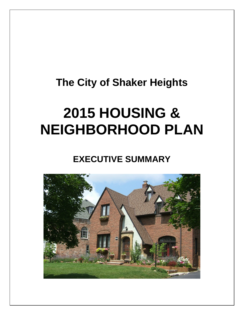## **The City of Shaker Heights**

# **2015 HOUSING & NEIGHBORHOOD PLAN**

**EXECUTIVE SUMMARY**

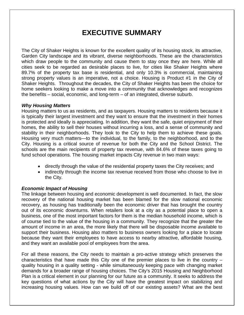## **EXECUTIVE SUMMARY**

The City of Shaker Heights is known for the excellent quality of its housing stock, its attractive, Garden City landscape and its vibrant, diverse neighborhoods. These are the characteristics which draw people to the community and cause them to stay once they are here. While all cities seek to be regarded as desirable places to live, for cities like Shaker Heights where 89.7% of the property tax base is residential, and only 10.3% is commercial, maintaining strong property values is an imperative, not a choice. Housing is Product #1 in the City of Shaker Heights. Throughout the decades, the City of Shaker Heights has been the choice for home seekers looking to make a move into a community that acknowledges and recognizes the benefits – social, economic, and long-term – of an integrated, diverse suburb.

#### *Why Housing Matters*

Housing matters to us as residents, and as taxpayers. Housing matters to residents because it is typically their largest investment and they want to ensure that the investment in their homes is protected and ideally is appreciating. In addition, they want the safe, quiet enjoyment of their homes, the ability to sell their houses without incurring a loss, and a sense of community and stability in their neighborhoods. They look to the City to help them to achieve these goals. Housing very much matters—to the individual, to the family, to the neighborhood, and to the City. Housing is a critical source of revenue for both the City and the School District. The schools are the main recipients of property tax revenue, with 84.6% of these taxes going to fund school operations. The housing market impacts City revenue in two main ways:

- directly through the value of the residential property taxes the City receives; and
- indirectly through the income tax revenue received from those who choose to live in the City.

#### *Economic Impact of Housing*

The linkage between housing and economic development is well documented. In fact, the slow recovery of the national housing market has been blamed for the slow national economic recovery, as housing has traditionally been the economic driver that has brought the country out of its economic downturns. When retailers look at a city as a potential place to open a business, one of the most important factors for them is the median household income, which is of course tied to the value of the housing in a community. They recognize that the greater the amount of income in an area, the more likely that there will be disposable income available to support their business. Housing also matters to business owners looking for a place to locate because they want their employees to have access to nearby attractive, affordable housing, and they want an available pool of employees from the area.

For all these reasons, the City needs to maintain a pro-active strategy which preserves the characteristics that have made this City one of the premier places to live in the country – quality housing in a quality setting - while simultaneously keeping pace with changing market demands for a broader range of housing choices. The City's 2015 Housing and Neighborhood Plan is a critical element in our planning for our future as a community. It seeks to address the key questions of what actions by the City will have the greatest impact on stabilizing and increasing housing values. How can we build off of our existing assets? What are the best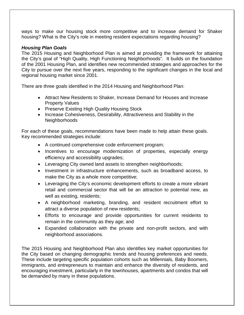ways to make our housing stock more competitive and to increase demand for Shaker housing? What is the City's role in meeting resident expectations regarding housing?

#### *Housing Plan Goals*

The 2015 Housing and Neighborhood Plan is aimed at providing the framework for attaining the City's goal of "High Quality, High Functioning Neighborhoods". It builds on the foundation of the 2001 Housing Plan, and identifies new recommended strategies and approaches for the City to pursue over the next five years, responding to the significant changes in the local and regional housing market since 2001.

There are three goals identified in the 2014 Housing and Neighborhood Plan:

- Attract New Residents to Shaker, Increase Demand for Houses and Increase Property Values
- Preserve Existing High Quality Housing Stock
- Increase Cohesiveness, Desirability, Attractiveness and Stability in the Neighborhoods

For each of these goals, recommendations have been made to help attain these goals. Key recommended strategies include:

- A continued comprehensive code enforcement program;
- Incentives to encourage modernization of properties, especially energy efficiency and accessibility upgrades;
- Leveraging City owned land assets to strengthen neighborhoods;
- Investment in infrastructure enhancements, such as broadband access, to make the City as a whole more competitive;
- Leveraging the City's economic development efforts to create a more vibrant retail and commercial sector that will be an attraction to potential new, as well as existing, residents;
- A neighborhood marketing, branding, and resident recruitment effort to attract a diverse population of new residents;
- Efforts to encourage and provide opportunities for current residents to remain in the community as they age; and
- Expanded collaboration with the private and non-profit sectors, and with neighborhood associations.

The 2015 Housing and Neighborhood Plan also identifies key market opportunities for the City based on changing demographic trends and housing preferences and needs. These include targeting specific population cohorts such as Millennials, Baby Boomers, immigrants, and entrepreneurs to maintain and enhance the diversity of residents, and encouraging investment, particularly in the townhouses, apartments and condos that will be demanded by many in these populations.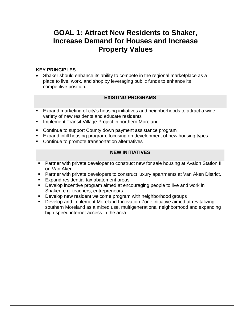### **GOAL 1: Attract New Residents to Shaker, Increase Demand for Houses and Increase Property Values**

#### **KEY PRINCIPLES**

• Shaker should enhance its ability to compete in the regional marketplace as a place to live, work, and shop by leveraging public funds to enhance its competitive position.

#### **EXISTING PROGRAMS**

- Expand marketing of city's housing initiatives and neighborhoods to attract a wide variety of new residents and educate residents
- **Implement Transit Village Project in northern Moreland.**
- **Continue to support County down payment assistance program**
- Expand infill housing program, focusing on development of new housing types
- Continue to promote transportation alternatives

#### **NEW INITIATIVES**

- **Partner with private developer to construct new for sale housing at Avalon Station II** on Van Aken.
- **Partner with private developers to construct luxury apartments at Van Aken District.**
- **Expand residential tax abatement areas**
- **Develop incentive program aimed at encouraging people to live and work in** Shaker, e.g. teachers, entrepreneurs
- **Develop new resident welcome program with neighborhood groups**
- Develop and implement Moreland Innovation Zone initiative aimed at revitalizing southern Moreland as a mixed use, multigenerational neighborhood and expanding high speed internet access in the area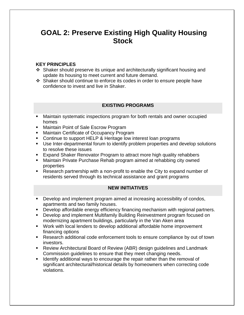## **GOAL 2: Preserve Existing High Quality Housing Stock**

#### **KEY PRINCIPLES**

- Shaker should preserve its unique and architecturally significant housing and update its housing to meet current and future demand.
- Shaker should continue to enforce its codes in order to ensure people have confidence to invest and live in Shaker.

#### **EXISTING PROGRAMS**

- Maintain systematic inspections program for both rentals and owner occupied homes
- **Maintain Point of Sale Escrow Program**
- **Maintain Certificate of Occupancy Program**
- Continue to support HELP & Heritage low interest loan programs
- Use Inter-departmental forum to identify problem properties and develop solutions to resolve these issues
- **Expand Shaker Renovator Program to attract more high quality rehabbers**
- Maintain Private Purchase Rehab program aimed at rehabbing city owned properties
- Research partnership with a non-profit to enable the City to expand number of residents served through its technical assistance and grant programs

#### **NEW INITIATIVES**

- Develop and implement program aimed at increasing accessibility of condos, apartments and two family houses.
- Develop affordable energy efficiency financing mechanism with regional partners.
- Develop and implement Multifamily Building Reinvestment program focused on modernizing apartment buildings, particularly in the Van Aken area
- Work with local lenders to develop additional affordable home improvement financing options
- Research additional code enforcement tools to ensure compliance by out of town investors.
- Review Architectural Board of Review (ABR) design guidelines and Landmark Commission guidelines to ensure that they meet changing needs.
- **If I** Identify additional ways to encourage the repair rather than the removal of significant architectural/historical details by homeowners when correcting code violations.